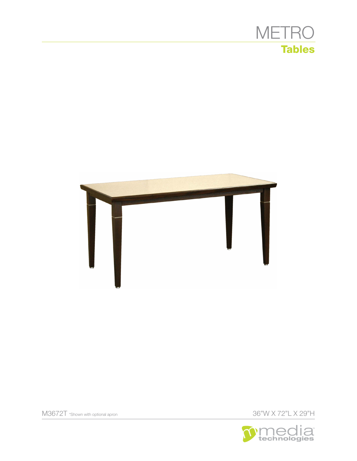



36"W X 72"L X 29"H